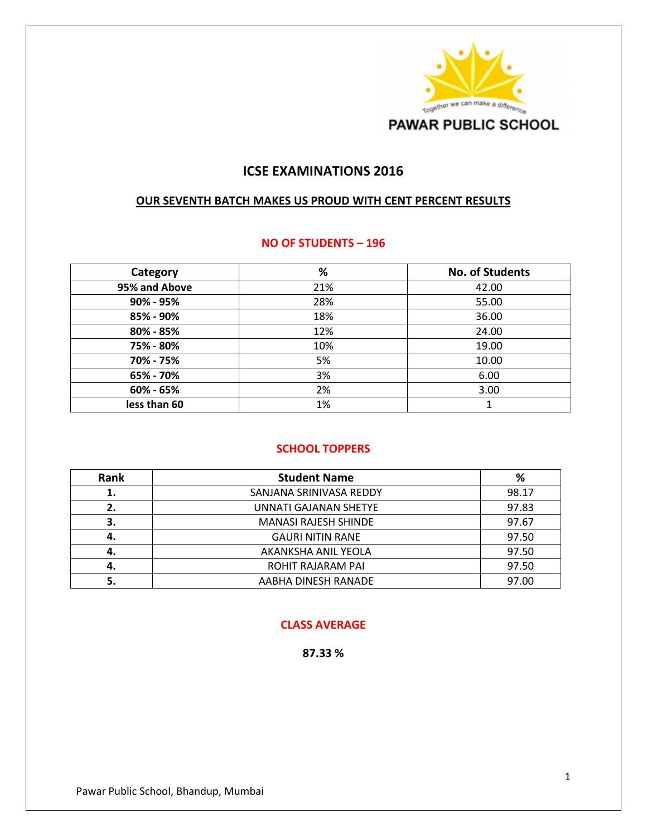

## **ICSE EXAMINATIONS 2016**

#### **OUR SEVENTH BATCH MAKES US PROUD WITH CENT PERCENT RESULTS**

#### **NO OF STUDENTS – 196**

| Category      | %   | <b>No. of Students</b> |
|---------------|-----|------------------------|
| 95% and Above | 21% | 42.00                  |
| 90% - 95%     | 28% | 55.00                  |
| 85% - 90%     | 18% | 36.00                  |
| 80% - 85%     | 12% | 24.00                  |
| 75% - 80%     | 10% | 19.00                  |
| 70% - 75%     | 5%  | 10.00                  |
| 65% - 70%     | 3%  | 6.00                   |
| 60% - 65%     | 2%  | 3.00                   |
| less than 60  | 1%  | 1                      |

#### **SCHOOL TOPPERS**

| Rank | <b>Student Name</b>          | %     |
|------|------------------------------|-------|
| 1.   | SANJANA SRINIVASA REDDY      | 98.17 |
| 2.   | <b>UNNATI GAJANAN SHETYE</b> | 97.83 |
| 3.   | <b>MANASI RAJESH SHINDE</b>  | 97.67 |
| 4.   | <b>GAURI NITIN RANE</b>      | 97.50 |
| 4.   | AKANKSHA ANIL YEOLA          | 97.50 |
| 4.   | ROHIT RAJARAM PAI            | 97.50 |
| 5.   | AABHA DINESH RANADE          | 97.00 |

#### **CLASS AVERAGE**

**87.33 %**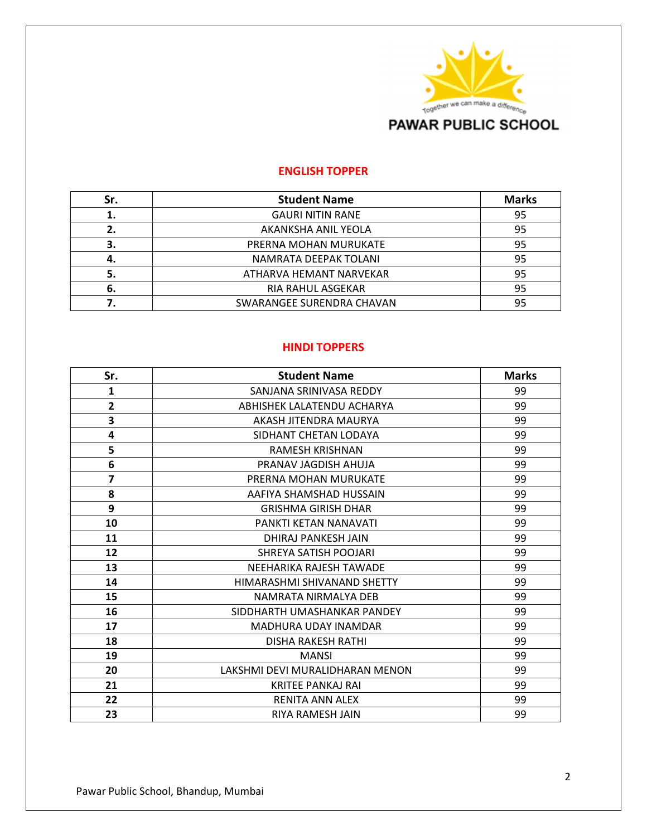

#### **ENGLISH TOPPER**

| Sr. | <b>Student Name</b>       | <b>Marks</b> |
|-----|---------------------------|--------------|
| 1.  | <b>GAURI NITIN RANE</b>   | 95           |
| 2.  | AKANKSHA ANIL YEOLA       | 95           |
| 3.  | PRERNA MOHAN MURUKATE     | 95           |
| 4.  | NAMRATA DEEPAK TOLANI     | 95           |
| 5.  | ATHARVA HEMANT NARVEKAR   | 95           |
| 6.  | <b>RIA RAHUL ASGEKAR</b>  | 95           |
|     | SWARANGEE SURENDRA CHAVAN | 95           |

#### **HINDI TOPPERS**

| Sr.                     | <b>Student Name</b>             | <b>Marks</b> |
|-------------------------|---------------------------------|--------------|
| $\mathbf{1}$            | SANJANA SRINIVASA REDDY         | 99           |
| $\overline{2}$          | ABHISHEK LALATENDU ACHARYA      | 99           |
| 3                       | AKASH JITENDRA MAURYA           | 99           |
| 4                       | SIDHANT CHETAN LODAYA           | 99           |
| 5                       | <b>RAMESH KRISHNAN</b>          | 99           |
| 6                       | PRANAV JAGDISH AHUJA            | 99           |
| $\overline{\mathbf{z}}$ | PRERNA MOHAN MURUKATE           | 99           |
| 8                       | AAFIYA SHAMSHAD HUSSAIN         | 99           |
| 9                       | <b>GRISHMA GIRISH DHAR</b>      | 99           |
| 10                      | PANKTI KETAN NANAVATI           | 99           |
| 11                      | DHIRAJ PANKESH JAIN             | 99           |
| 12                      | SHREYA SATISH POOJARI           | 99           |
| 13                      | NEEHARIKA RAJESH TAWADE         | 99           |
| 14                      | HIMARASHMI SHIVANAND SHETTY     | 99           |
| 15                      | NAMRATA NIRMALYA DFB            | 99           |
| 16                      | SIDDHARTH UMASHANKAR PANDEY     | 99           |
| 17                      | MADHURA UDAY INAMDAR            | 99           |
| 18                      | <b>DISHA RAKESH RATHI</b>       | 99           |
| 19                      | <b>MANSI</b>                    | 99           |
| 20                      | LAKSHMI DEVI MURALIDHARAN MENON | 99           |
| 21                      | <b>KRITEE PANKAJ RAI</b>        | 99           |
| 22                      | RENITA ANN ALEX                 | 99           |
| 23                      | RIYA RAMESH JAIN                | 99           |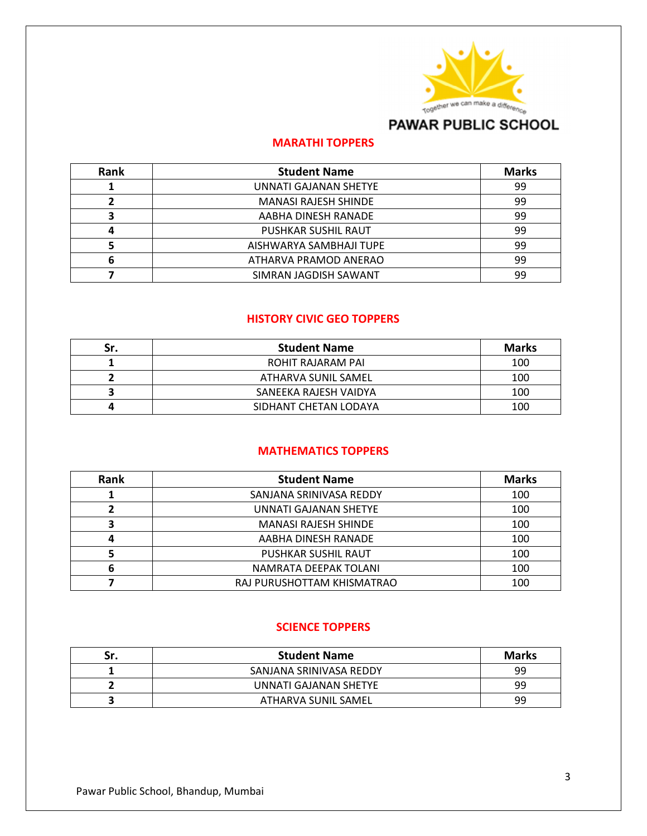

# **PAWAR PUBLIC SCHOOL**

## **MARATHI TOPPERS**

| Rank | <b>Student Name</b>         | <b>Marks</b> |
|------|-----------------------------|--------------|
|      | UNNATI GAJANAN SHETYE       | 99           |
|      | <b>MANASI RAJESH SHINDE</b> | 99           |
| 3    | AABHA DINESH RANADE         | 99           |
| 4    | PUSHKAR SUSHIL RAUT         | 99           |
|      | AISHWARYA SAMBHAJI TUPE     | 99           |
| 6    | ATHARVA PRAMOD ANERAO       | 99           |
|      | SIMRAN JAGDISH SAWANT       | 99           |

## **HISTORY CIVIC GEO TOPPERS**

| Sr. | <b>Student Name</b>   | <b>Marks</b> |
|-----|-----------------------|--------------|
|     | ROHIT RAJARAM PAI     | 100          |
|     | ATHARVA SUNIL SAMEL   | 100          |
|     | SANEEKA RAJESH VAIDYA | 100          |
|     | SIDHANT CHETAN LODAYA | 100          |

## **MATHEMATICS TOPPERS**

| Rank | <b>Student Name</b>          | <b>Marks</b> |
|------|------------------------------|--------------|
|      | SANJANA SRINIVASA REDDY      | 100          |
|      | <b>UNNATI GAJANAN SHETYE</b> | 100          |
|      | <b>MANASI RAJESH SHINDE</b>  | 100          |
| 4    | AABHA DINESH RANADE          | 100          |
|      | PUSHKAR SUSHIL RAUT          | 100          |
| 6    | NAMRATA DEEPAK TOLANI        | 100          |
|      | RAJ PURUSHOTTAM KHISMATRAO   | 100          |

#### **SCIENCE TOPPERS**

| Sr. | <b>Student Name</b>     | <b>Marks</b> |
|-----|-------------------------|--------------|
|     | SANJANA SRINIVASA REDDY | 99           |
|     | UNNATI GAJANAN SHETYE   | 99           |
|     | ATHARVA SUNIL SAMEL     | 99           |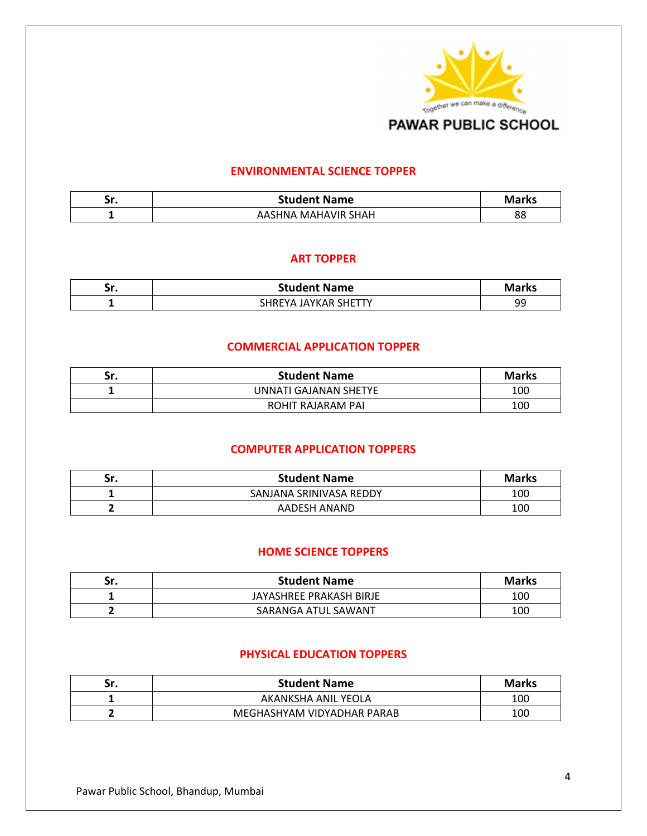

#### **ENVIRONMENTAL SCIENCE TOPPER**

| ٠.,<br>JI. | <b>Student Name</b>           | Marks         |
|------------|-------------------------------|---------------|
|            | <b>MAHAVIR SHAH</b><br>AASHNA | oc<br>$\circ$ |

#### **ART TOPPER**

| ٠.,<br>JI. | <b>Student Name</b>                     | arks      |
|------------|-----------------------------------------|-----------|
|            | JAYKAR SHETTY<br>. HRFV<br>$\mathbf{v}$ | o٢<br>۔ ب |

#### **COMMERCIAL APPLICATION TOPPER**

| Sr. | <b>Student Name</b>   | <b>Marks</b> |
|-----|-----------------------|--------------|
|     | UNNATI GAJANAN SHETYE | 100          |
|     | ROHIT RAJARAM PAI     | 100          |

#### **COMPUTER APPLICATION TOPPERS**

| Sr. | <b>Student Name</b>     | <b>Marks</b> |
|-----|-------------------------|--------------|
|     | SANJANA SRINIVASA REDDY | 100          |
|     | AADESH ANAND            | 100          |

### **HOME SCIENCE TOPPERS**

| Sr. | <b>Student Name</b>     | <b>Marks</b> |
|-----|-------------------------|--------------|
|     | JAYASHREE PRAKASH BIRJE | 100          |
|     | SARANGA ATUL SAWANT     | 100          |

#### **PHYSICAL EDUCATION TOPPERS**

| Sr. | <b>Student Name</b>        | <b>Marks</b> |
|-----|----------------------------|--------------|
|     | AKANKSHA ANIL YEOLA        | 100          |
|     | MEGHASHYAM VIDYADHAR PARAB | 100          |